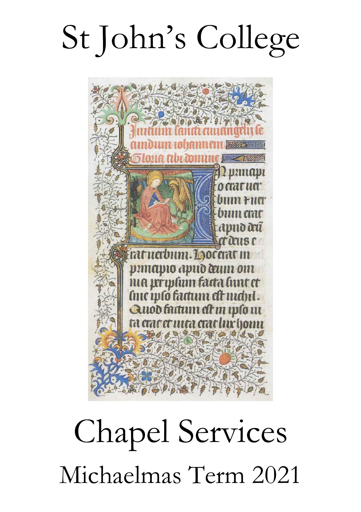# St John's College



## Chapel Services Michaelmas Term 2021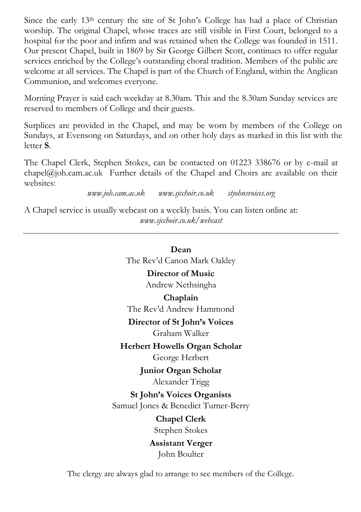Since the early  $13<sup>th</sup>$  century the site of St John's College has had a place of Christian worship. The original Chapel, whose traces are still visible in First Court, belonged to a hospital for the poor and infirm and was retained when the College was founded in 1511. Our present Chapel, built in 1869 by Sir George Gilbert Scott, continues to offer regular services enriched by the College's outstanding choral tradition. Members of the public are welcome at all services. The Chapel is part of the Church of England, within the Anglican Communion, and welcomes everyone.

Morning Prayer is said each weekday at 8.30am. This and the 8.30am Sunday services are reserved to members of College and their guests.

Surplices are provided in the Chapel, and may be worn by members of the College on Sundays, at Evensong on Saturdays, and on other holy days as marked in this list with the letter **S**.

The Chapel Clerk, Stephen Stokes, can be contacted on 01223 338676 or by e-mail at  $chapel@joh.cam.ac.uk$  Further details of the Chapel and Choirs are available on their websites:

*www.joh.cam.ac.uk www.sjcchoir.co.uk stjohnsvoices.org*

A Chapel service is usually webcast on a weekly basis. You can listen online at: *[www.sjcchoir.co.uk/webcast](http://www.sjcchoir.co.uk/webcast)*

## **Dean**

The Rev'd Canon Mark Oakley

## **Director of Music**

Andrew Nethsingha

## **Chaplain**

The Rev'd Andrew Hammond

## **Director of St John's Voices**

Graham Walker

## **Herbert Howells Organ Scholar**

George Herbert

**Junior Organ Scholar** Alexander Trigg

## **St John's Voices Organists**

Samuel Jones & Benedict Turner-Berry

## **Chapel Clerk** Stephen Stokes

## **Assistant Verger** John Boulter

The clergy are always glad to arrange to see members of the College.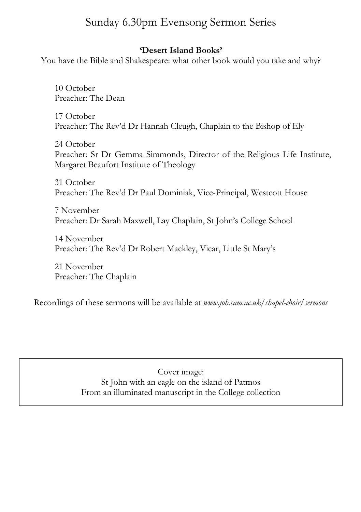## Sunday 6.30pm Evensong Sermon Series

## **'Desert Island Books'**

You have the Bible and Shakespeare: what other book would you take and why?

10 October Preacher: The Dean

17 October Preacher: The Rev'd Dr Hannah Cleugh, Chaplain to the Bishop of Ely

24 October Preacher: Sr Dr Gemma Simmonds, Director of the Religious Life Institute, Margaret Beaufort Institute of Theology

31 October Preacher: The Rev'd Dr Paul Dominiak, Vice-Principal, Westcott House

7 November Preacher: Dr Sarah Maxwell, Lay Chaplain, St John's College School

14 November Preacher: The Rev'd Dr Robert Mackley, Vicar, Little St Mary's

21 November Preacher: The Chaplain

Recordings of these sermons will be available at *www.joh.cam.ac.uk/chapel-choir/sermons*

Cover image: St John with an eagle on the island of Patmos From an illuminated manuscript in the College collection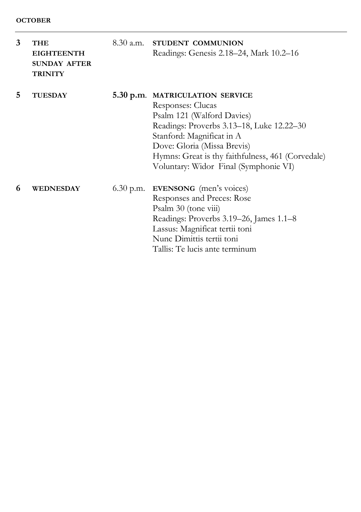| 3 | <b>THE</b><br><b>EIGHTEENTH</b><br><b>SUNDAY AFTER</b><br><b>TRINITY</b> | 8.30 a.m. STUDENT COMMUNION<br>Readings: Genesis 2.18–24, Mark 10.2–16                                                                                                                                                                                                                    |
|---|--------------------------------------------------------------------------|-------------------------------------------------------------------------------------------------------------------------------------------------------------------------------------------------------------------------------------------------------------------------------------------|
| 5 | <b>TUESDAY</b>                                                           | 5.30 p.m. MATRICULATION SERVICE<br>Responses: Clucas<br>Psalm 121 (Walford Davies)<br>Readings: Proverbs 3.13–18, Luke 12.22–30<br>Stanford: Magnificat in A<br>Dove: Gloria (Missa Brevis)<br>Hymns: Great is thy faithfulness, 461 (Corvedale)<br>Voluntary: Widor Final (Symphonie VI) |
| 6 | WEDNESDAY                                                                | $6.30$ p.m. <b>EVENSONG</b> (men's voices)<br>Responses and Preces: Rose<br>Psalm 30 (tone viii)<br>Readings: Proverbs 3.19–26, James 1.1–8<br>Lassus: Magnificat tertii toni<br>Nunc Dimittis tertii toni<br>Tallis: Te lucis ante terminum                                              |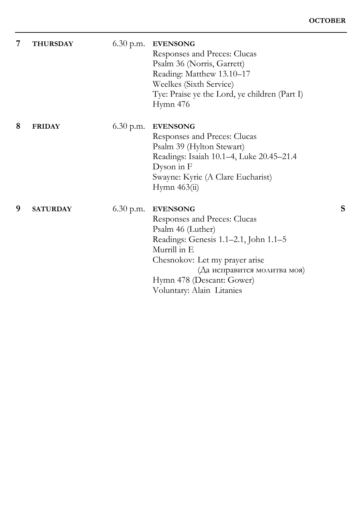| 7 | <b>THURSDAY</b> | $6.30$ p.m. | <b>EVENSONG</b><br>Responses and Preces: Clucas<br>Psalm 36 (Norris, Garrett)<br>Reading: Matthew 13.10-17<br>Weelkes (Sixth Service)<br>Tye: Praise ye the Lord, ye children (Part I)<br>Hymn 476                                                       |   |
|---|-----------------|-------------|----------------------------------------------------------------------------------------------------------------------------------------------------------------------------------------------------------------------------------------------------------|---|
| 8 | <b>FRIDAY</b>   | $6.30$ p.m. | <b>EVENSONG</b><br>Responses and Preces: Clucas<br>Psalm 39 (Hylton Stewart)<br>Readings: Isaiah 10.1-4, Luke 20.45-21.4<br>Dyson in F<br>Swayne: Kyrie (A Clare Eucharist)<br>Hymn 463(ii)                                                              |   |
| 9 | <b>SATURDAY</b> | $6.30$ p.m. | <b>EVENSONG</b><br>Responses and Preces: Clucas<br>Psalm 46 (Luther)<br>Readings: Genesis 1.1-2.1, John 1.1-5<br>Murrill in E<br>Chesnokov: Let my prayer arise<br>(Да исправится молитва моя)<br>Hymn 478 (Descant: Gower)<br>Voluntary: Alain Litanies | s |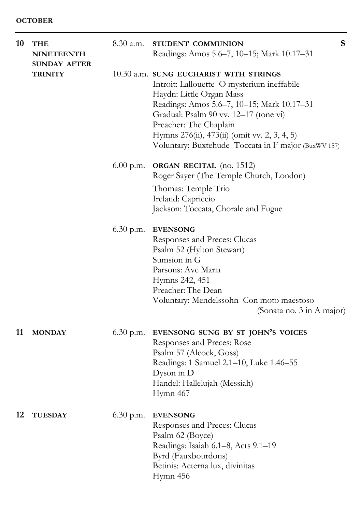| 10 | THE<br><b>NINETEENTH</b><br><b>SUNDAY AFTER</b> | $8.30$ a.m. | S<br>STUDENT COMMUNION<br>Readings: Amos 5.6–7, 10–15; Mark 10.17–31                                                                                                                                                                                                                                                                     |
|----|-------------------------------------------------|-------------|------------------------------------------------------------------------------------------------------------------------------------------------------------------------------------------------------------------------------------------------------------------------------------------------------------------------------------------|
|    | <b>TRINITY</b>                                  |             | 10.30 a.m. SUNG EUCHARIST WITH STRINGS<br>Introit: Lallouette O mysterium ineffabile<br>Haydn: Little Organ Mass<br>Readings: Amos 5.6-7, 10-15; Mark 10.17-31<br>Gradual: Psalm 90 vv. 12–17 (tone vi)<br>Preacher: The Chaplain<br>Hymns 276(ii), 473(ii) (omit vv. 2, 3, 4, 5)<br>Voluntary: Buxtehude Toccata in F major (BuxWV 157) |
|    |                                                 | $6.00$ p.m. | <b>ORGAN RECITAL</b> (no. 1512)<br>Roger Sayer (The Temple Church, London)<br>Thomas: Temple Trio<br>Ireland: Capriccio<br>Jackson: Toccata, Chorale and Fugue                                                                                                                                                                           |
|    |                                                 | $6.30$ p.m. | <b>EVENSONG</b><br>Responses and Preces: Clucas<br>Psalm 52 (Hylton Stewart)<br>Sumsion in G<br>Parsons: Ave Maria<br>Hymns 242, 451<br>Preacher: The Dean<br>Voluntary: Mendelssohn Con moto maestoso<br>(Sonata no. 3 in A major)                                                                                                      |
| 11 | <b>MONDAY</b>                                   | $6.30$ p.m. | EVENSONG SUNG BY ST JOHN'S VOICES<br>Responses and Preces: Rose<br>Psalm 57 (Alcock, Goss)<br>Readings: 1 Samuel 2.1-10, Luke 1.46-55<br>Dyson in $D$<br>Handel: Hallelujah (Messiah)<br>Hymn 467                                                                                                                                        |
| 12 | <b>TUESDAY</b>                                  | $6.30$ p.m. | <b>EVENSONG</b><br>Responses and Preces: Clucas<br>Psalm 62 (Boyce)<br>Readings: Isaiah 6.1–8, Acts 9.1–19<br>Byrd (Fauxbourdons)<br>Betinis: Aeterna lux, divinitas<br>Hymn 456                                                                                                                                                         |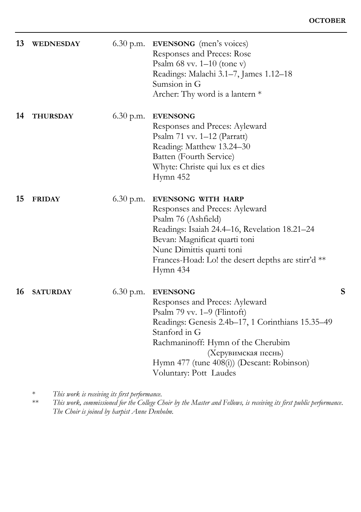| 13 | <b>WEDNESDAY</b> | $6.30$ p.m. | <b>EVENSONG</b> (men's voices)<br>Responses and Preces: Rose<br>Psalm $68$ vv. $1-10$ (tone v)<br>Readings: Malachi 3.1-7, James 1.12-18<br>Sumsion in G<br>Archer: Thy word is a lantern $*$                                                                                               |   |
|----|------------------|-------------|---------------------------------------------------------------------------------------------------------------------------------------------------------------------------------------------------------------------------------------------------------------------------------------------|---|
| 14 | <b>THURSDAY</b>  | $6.30$ p.m. | <b>EVENSONG</b><br>Responses and Preces: Ayleward<br>Psalm 71 vv. 1-12 (Parratt)<br>Reading: Matthew 13.24-30<br>Batten (Fourth Service)<br>Whyte: Christe qui lux es et dies<br>Hymn 452                                                                                                   |   |
| 15 | <b>FRIDAY</b>    | $6.30$ p.m. | <b>EVENSONG WITH HARP</b><br>Responses and Preces: Ayleward<br>Psalm 76 (Ashfield)<br>Readings: Isaiah 24.4–16, Revelation 18.21–24<br>Bevan: Magnificat quarti toni<br>Nunc Dimittis quarti toni<br>Frances-Hoad: Lo! the desert depths are stirr'd **<br>Hymn 434                         |   |
| 16 | <b>SATURDAY</b>  | $6.30$ p.m. | <b>EVENSONG</b><br>Responses and Preces: Ayleward<br>Psalm 79 vv. 1–9 (Flintoft)<br>Readings: Genesis 2.4b-17, 1 Corinthians 15.35-49<br>Stanford in G<br>Rachmaninoff: Hymn of the Cherubim<br>(Херувимская песнь)<br>Hymn 477 (tune 408(i)) (Descant: Robinson)<br>Voluntary: Pott Laudes | S |

\* *This work is receiving its first performance.*

\*\* *This work, commissioned for the College Choir by the Master and Fellows, is receiving its first public performance. The Choir is joined by harpist Anne Denholm.*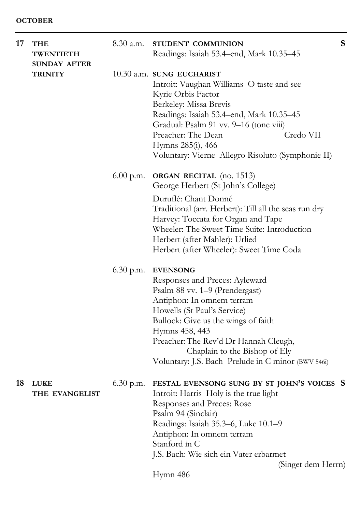| 17 | <b>THE</b><br><b>TWENTIETH</b>        | 8.30 a.m.   | STUDENT COMMUNION<br>Readings: Isaiah 53.4-end, Mark 10.35-45                                                                                                                                                                                                                                                                            | S |
|----|---------------------------------------|-------------|------------------------------------------------------------------------------------------------------------------------------------------------------------------------------------------------------------------------------------------------------------------------------------------------------------------------------------------|---|
|    | <b>SUNDAY AFTER</b><br><b>TRINITY</b> |             | 10.30 a.m. SUNG EUCHARIST<br>Introit: Vaughan Williams O taste and see<br>Kyrie Orbis Factor<br>Berkeley: Missa Brevis<br>Readings: Isaiah 53.4-end, Mark 10.35-45<br>Gradual: Psalm 91 vv. 9-16 (tone viii)<br>Preacher: The Dean<br>Credo VII<br>Hymns 285(i), 466<br>Voluntary: Vierne Allegro Risoluto (Symphonie II)                |   |
|    |                                       | 6.00 p.m.   | ORGAN RECITAL (no. 1513)<br>George Herbert (St John's College)<br>Duruflé: Chant Donné<br>Traditional (arr. Herbert): Till all the seas run dry<br>Harvey: Toccata for Organ and Tape<br>Wheeler: The Sweet Time Suite: Introduction<br>Herbert (after Mahler): Urlied<br>Herbert (after Wheeler): Sweet Time Coda                       |   |
|    |                                       | $6.30$ p.m. | <b>EVENSONG</b><br>Responses and Preces: Ayleward<br>Psalm 88 vv. 1–9 (Prendergast)<br>Antiphon: In omnem terram<br>Howells (St Paul's Service)<br>Bullock: Give us the wings of faith<br>Hymns 458, 443<br>Preacher: The Rev'd Dr Hannah Cleugh,<br>Chaplain to the Bishop of Ely<br>Voluntary: J.S. Bach Prelude in C minor (BWV 546i) |   |
| 18 | <b>LUKE</b><br>THE EVANGELIST         | $6.30$ p.m. | FESTAL EVENSONG SUNG BY ST JOHN'S VOICES S<br>Introit: Harris Holy is the true light<br>Responses and Preces: Rose<br>Psalm 94 (Sinclair)<br>Readings: Isaiah 35.3-6, Luke 10.1-9<br>Antiphon: In omnem terram<br>Stanford in C<br>J.S. Bach: Wie sich ein Vater erbarmet<br>(Singet dem Herrn)<br>Hymn 486                              |   |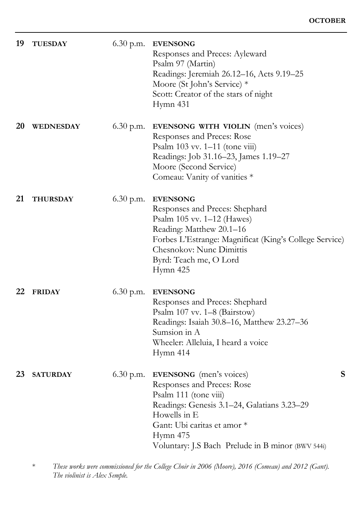| 19 | <b>TUESDAY</b>   | $6.30$ p.m. | <b>EVENSONG</b><br>Responses and Preces: Ayleward<br>Psalm 97 (Martin)<br>Readings: Jeremiah 26.12-16, Acts 9.19-25<br>Moore (St John's Service) *<br>Scott: Creator of the stars of night<br>Hymn 431                                                    |
|----|------------------|-------------|-----------------------------------------------------------------------------------------------------------------------------------------------------------------------------------------------------------------------------------------------------------|
| 20 | <b>WEDNESDAY</b> | $6.30$ p.m. | EVENSONG WITH VIOLIN (men's voices)<br>Responses and Preces: Rose<br>Psalm $103$ vv. $1-11$ (tone viii)<br>Readings: Job 31.16-23, James 1.19-27<br>Moore (Second Service)<br>Comeau: Vanity of vanities *                                                |
| 21 | <b>THURSDAY</b>  | $6.30$ p.m. | <b>EVENSONG</b><br>Responses and Preces: Shephard<br>Psalm 105 vv. 1-12 (Hawes)<br>Reading: Matthew 20.1-16<br>Forbes L'Estrange: Magnificat (King's College Service)<br>Chesnokov: Nunc Dimittis<br>Byrd: Teach me, O Lord<br>Hymn 425                   |
| 22 | <b>FRIDAY</b>    | $6.30$ p.m. | <b>EVENSONG</b><br>Responses and Preces: Shephard<br>Psalm 107 vv. 1-8 (Bairstow)<br>Readings: Isaiah 30.8–16, Matthew 23.27–36<br>Sumsion in A<br>Wheeler: Alleluia, I heard a voice<br>Hymn 414                                                         |
| 23 | <b>SATURDAY</b>  | $6.30$ p.m. | S<br><b>EVENSONG</b> (men's voices)<br>Responses and Preces: Rose<br>Psalm 111 (tone viii)<br>Readings: Genesis 3.1–24, Galatians 3.23–29<br>Howells in E<br>Gant: Ubi caritas et amor *<br>Hymn 475<br>Voluntary: J.S Bach Prelude in B minor (BWV 544i) |

\* *These works were commissioned for the College Choir in 2006 (Moore), 2016 (Comeau) and 2012 (Gant). The violinist is Alex Semple.*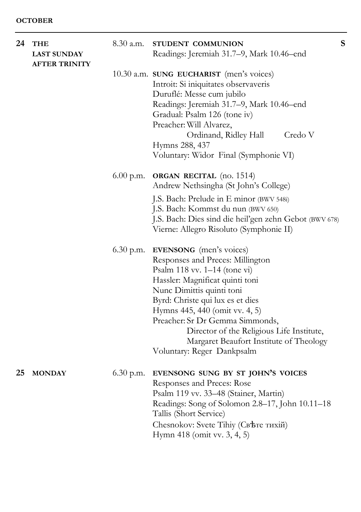| 24 | <b>THE</b><br><b>LAST SUNDAY</b> | $8.30$ a.m. | STUDENT COMMUNION<br>Readings: Jeremiah 31.7-9, Mark 10.46-end                                                                                                                                                                                                                                                                                                                                              | S |
|----|----------------------------------|-------------|-------------------------------------------------------------------------------------------------------------------------------------------------------------------------------------------------------------------------------------------------------------------------------------------------------------------------------------------------------------------------------------------------------------|---|
|    | <b>AFTER TRINITY</b>             |             |                                                                                                                                                                                                                                                                                                                                                                                                             |   |
|    |                                  |             | 10.30 a.m. SUNG EUCHARIST (men's voices)<br>Introit: Si iniquitates observaveris<br>Duruflé: Messe cum jubilo<br>Readings: Jeremiah 31.7-9, Mark 10.46-end<br>Gradual: Psalm 126 (tone iv)<br>Preacher: Will Alvarez,<br>Ordinand, Ridley Hall<br>Credo V<br>Hymns 288, 437                                                                                                                                 |   |
|    |                                  |             | Voluntary: Widor Final (Symphonie VI)                                                                                                                                                                                                                                                                                                                                                                       |   |
|    |                                  |             | $6.00$ p.m. ORGAN RECITAL (no. 1514)<br>Andrew Nethsingha (St John's College)<br>J.S. Bach: Prelude in E minor (BWV 548i)<br>J.S. Bach: Kommst du nun (BWV 650)<br>J.S. Bach: Dies sind die heil'gen zehn Gebot (BWV 678)<br>Vierne: Allegro Risoluto (Symphonie II)                                                                                                                                        |   |
|    |                                  |             | 6.30 p.m. <b>EVENSONG</b> (men's voices)<br>Responses and Preces: Millington<br>Psalm 118 vv. 1-14 (tone vi)<br>Hassler: Magnificat quinti toni<br>Nunc Dimittis quinti toni<br>Byrd: Christe qui lux es et dies<br>Hymns 445, 440 (omit vv. 4, 5)<br>Preacher: Sr Dr Gemma Simmonds,<br>Director of the Religious Life Institute,<br>Margaret Beaufort Institute of Theology<br>Voluntary: Reger Dankpsalm |   |
| 25 | <b>MONDAY</b>                    | $6.30$ p.m. | EVENSONG SUNG BY ST JOHN'S VOICES<br>Responses and Preces: Rose<br>Psalm 119 vv. 33–48 (Stainer, Martin)<br>Readings: Song of Solomon 2.8-17, John 10.11-18<br>Tallis (Short Service)<br>Chesnokov: Svete Tihiy (Свете тихій)                                                                                                                                                                               |   |

Hymn 418 (omit vv. 3, 4, 5)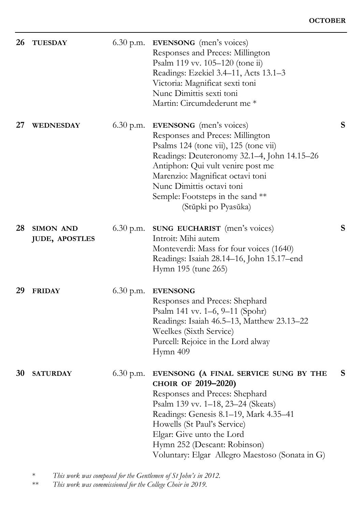| 26 | <b>TUESDAY</b>                     | $6.30$ p.m. | <b>EVENSONG</b> (men's voices)<br>Responses and Preces: Millington<br>Psalm 119 vv. 105-120 (tone ii)<br>Readings: Ezekiel 3.4–11, Acts 13.1–3<br>Victoria: Magnificat sexti toni<br>Nunc Dimittis sexti toni<br>Martin: Circumdederunt me *                                                                                  |   |
|----|------------------------------------|-------------|-------------------------------------------------------------------------------------------------------------------------------------------------------------------------------------------------------------------------------------------------------------------------------------------------------------------------------|---|
| 27 | WEDNESDAY                          | $6.30$ p.m. | <b>EVENSONG</b> (men's voices)<br>Responses and Preces: Millington<br>Psalms 124 (tone vii), 125 (tone vii)<br>Readings: Deuteronomy 32.1-4, John 14.15-26<br>Antiphon: Qui vult venire post me<br>Marenzio: Magnificat octavi toni<br>Nunc Dimittis octavi toni<br>Semple: Footsteps in the sand **<br>(Stŭpki po Pyasŭka)   | S |
| 28 | SIMON AND<br><b>JUDE, APOSTLES</b> | $6.30$ p.m. | SUNG EUCHARIST (men's voices)<br>Introit: Mihi autem<br>Monteverdi: Mass for four voices (1640)<br>Readings: Isaiah 28.14–16, John 15.17–end<br>Hymn 195 (tune 265)                                                                                                                                                           | S |
| 29 | <b>FRIDAY</b>                      | $6.30$ p.m. | <b>EVENSONG</b><br>Responses and Preces: Shephard<br>Psalm 141 vv. 1–6, 9–11 (Spohr)<br>Readings: Isaiah 46.5–13, Matthew 23.13–22<br>Weelkes (Sixth Service)<br>Purcell: Rejoice in the Lord alway<br>Hymn 409                                                                                                               |   |
| 30 | <b>SATURDAY</b>                    | 6.30 p.m.   | EVENSONG (A FINAL SERVICE SUNG BY THE<br>CHOIR OF 2019-2020)<br>Responses and Preces: Shephard<br>Psalm 139 vv. 1–18, 23–24 (Skeats)<br>Readings: Genesis 8.1–19, Mark 4.35–41<br>Howells (St Paul's Service)<br>Elgar: Give unto the Lord<br>Hymn 252 (Descant: Robinson)<br>Voluntary: Elgar Allegro Maestoso (Sonata in G) | S |

<sup>\*</sup> *This work was composed for the Gentlemen of St John's in 2012.*

This work was commissioned for the College Choir in 2019.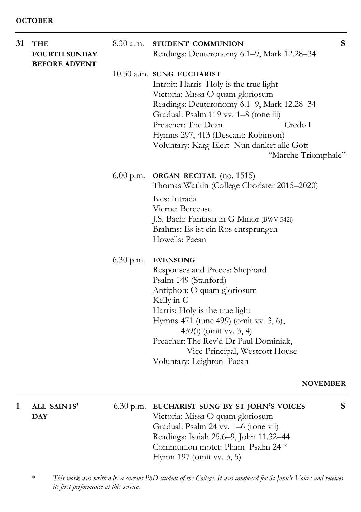| 31 | <b>THE</b><br><b>FOURTH SUNDAY</b><br><b>BEFORE ADVENT</b> | $8.30$ a.m. | STUDENT COMMUNION<br>Readings: Deuteronomy 6.1-9, Mark 12.28-34                                                                                                                                                                                                                                                                            | ${\bf S}$ |
|----|------------------------------------------------------------|-------------|--------------------------------------------------------------------------------------------------------------------------------------------------------------------------------------------------------------------------------------------------------------------------------------------------------------------------------------------|-----------|
|    |                                                            |             | 10.30 a.m. SUNG EUCHARIST<br>Introit: Harris Holy is the true light<br>Victoria: Missa O quam gloriosum<br>Readings: Deuteronomy 6.1–9, Mark 12.28–34<br>Gradual: Psalm 119 vv. 1-8 (tone iii)<br>Credo I<br>Preacher: The Dean<br>Hymns 297, 413 (Descant: Robinson)<br>Voluntary: Karg-Elert Nun danket alle Gott<br>"Marche Triomphale" |           |
|    |                                                            |             | 6.00 p.m. ORGAN RECITAL (no. 1515)<br>Thomas Watkin (College Chorister 2015–2020)<br>Ives: Intrada<br>Vierne: Berceuse                                                                                                                                                                                                                     |           |
|    |                                                            |             | J.S. Bach: Fantasia in G Minor (BWV 542i)<br>Brahms: Es ist ein Ros entsprungen<br>Howells: Paean                                                                                                                                                                                                                                          |           |
|    |                                                            | $6.30$ p.m. | <b>EVENSONG</b><br>Responses and Preces: Shephard<br>Psalm 149 (Stanford)<br>Antiphon: O quam gloriosum<br>Kelly in C<br>Harris: Holy is the true light<br>Hymns 471 (tune 499) (omit vv. 3, 6),<br>439(i) (omit vv. 3, 4)<br>Preacher: The Rev'd Dr Paul Dominiak,<br>Vice-Principal, Westcott House<br>Voluntary: Leighton Paean         |           |
|    |                                                            |             |                                                                                                                                                                                                                                                                                                                                            |           |

## **NOVEMBER**

| ALL SAINTS' | 6.30 p.m. EUCHARIST SUNG BY ST JOHN'S VOICES | S. |
|-------------|----------------------------------------------|----|
| <b>DAY</b>  | Victoria: Missa O quam gloriosum             |    |
|             | Gradual: Psalm 24 vv. 1–6 (tone vii)         |    |
|             | Readings: Isaiah 25.6-9, John 11.32-44       |    |
|             | Communion motet: Pham Psalm 24 *             |    |
|             | Hymn $197$ (omit vv. $3, 5$ )                |    |
|             |                                              |    |

\* *This work was written by a current PhD student of the College. It was composed for St John's Voices and receives its first performance at this service.*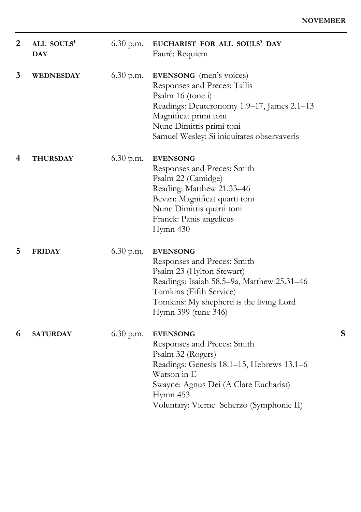| $\overline{2}$ | ALL SOULS'<br><b>DAY</b> | $6.30$ p.m. | EUCHARIST FOR ALL SOULS' DAY<br>Fauré: Requiem                                                                                                                                                                                       |   |
|----------------|--------------------------|-------------|--------------------------------------------------------------------------------------------------------------------------------------------------------------------------------------------------------------------------------------|---|
| 3              | WEDNESDAY                | $6.30$ p.m. | <b>EVENSONG</b> (men's voices)<br>Responses and Preces: Tallis<br>Psalm 16 (tone i)<br>Readings: Deuteronomy 1.9-17, James 2.1-13<br>Magnificat primi toni<br>Nunc Dimittis primi toni<br>Samuel Wesley: Si iniquitates observaveris |   |
| 4              | <b>THURSDAY</b>          | $6.30$ p.m. | <b>EVENSONG</b><br>Responses and Preces: Smith<br>Psalm 22 (Camidge)<br>Reading: Matthew 21.33-46<br>Bevan: Magnificat quarti toni<br>Nunc Dimittis quarti toni<br>Franck: Panis angelicus<br>Hymn 430                               |   |
| 5              | <b>FRIDAY</b>            | $6.30$ p.m. | <b>EVENSONG</b><br>Responses and Preces: Smith<br>Psalm 23 (Hylton Stewart)<br>Readings: Isaiah 58.5-9a, Matthew 25.31-46<br>Tomkins (Fifth Service)<br>Tomkins: My shepherd is the living Lord<br>Hymn 399 (tune 346)               |   |
| 6              | <b>SATURDAY</b>          | $6.30$ p.m. | <b>EVENSONG</b><br>Responses and Preces: Smith<br>Psalm 32 (Rogers)<br>Readings: Genesis 18.1–15, Hebrews 13.1–6<br>Watson in E<br>Swayne: Agnus Dei (A Clare Eucharist)<br>Hymn 453<br>Voluntary: Vierne Scherzo (Symphonie II)     | S |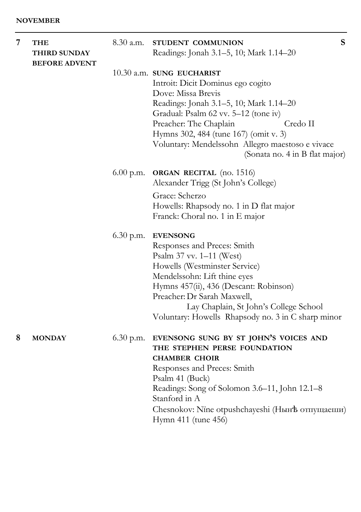| 7 | THE<br>THIRD SUNDAY<br><b>BEFORE ADVENT</b> | $8.30$ a.m. | S<br>STUDENT COMMUNION<br>Readings: Jonah 3.1-5, 10; Mark 1.14-20                                                                                                                                                                                                                                                                              |
|---|---------------------------------------------|-------------|------------------------------------------------------------------------------------------------------------------------------------------------------------------------------------------------------------------------------------------------------------------------------------------------------------------------------------------------|
|   |                                             |             | $10.30$ a.m. SUNG EUCHARIST<br>Introit: Dicit Dominus ego cogito<br>Dove: Missa Brevis<br>Readings: Jonah 3.1–5, 10; Mark 1.14–20<br>Gradual: Psalm 62 vv. 5-12 (tone iv)<br>Credo II<br>Preacher: The Chaplain<br>Hymns 302, 484 (tune 167) (omit v. 3)<br>Voluntary: Mendelssohn Allegro maestoso e vivace<br>(Sonata no. 4 in B flat major) |
|   |                                             | $6.00$ p.m. | <b>ORGAN RECITAL</b> (no. 1516)<br>Alexander Trigg (St John's College)<br>Grace: Scherzo<br>Howells: Rhapsody no. 1 in D flat major<br>Franck: Choral no. 1 in E major                                                                                                                                                                         |
|   |                                             | $6.30$ p.m. | <b>EVENSONG</b><br>Responses and Preces: Smith<br>Psalm 37 vv. 1–11 (West)<br>Howells (Westminster Service)<br>Mendelssohn: Lift thine eyes<br>Hymns 457(ii), 436 (Descant: Robinson)<br>Preacher: Dr Sarah Maxwell,<br>Lay Chaplain, St John's College School<br>Voluntary: Howells Rhapsody no. 3 in C sharp minor                           |
| 8 | <b>MONDAY</b>                               | $6.30$ p.m. | EVENSONG SUNG BY ST JOHN'S VOICES AND<br>THE STEPHEN PERSE FOUNDATION<br><b>CHAMBER CHOIR</b><br>Responses and Preces: Smith<br>Psalm 41 (Buck)<br>Readings: Song of Solomon 3.6–11, John 12.1–8<br>Stanford in A<br>Chesnokov: Nine otpushchayeshi (Нын <sup>†</sup> ь отпущаеши)<br>Hymn 411 (tune 456)                                      |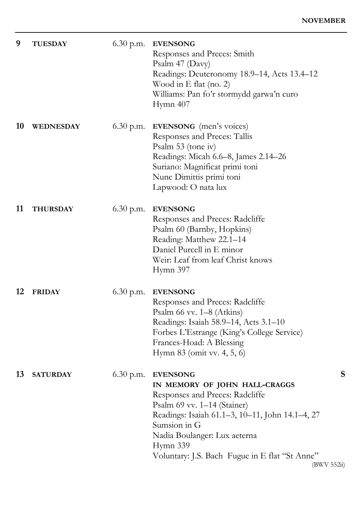$(552ii)$ 

| 9  | <b>TUESDAY</b>  | 6.30 p.m.   | <b>EVENSONG</b><br>Responses and Preces: Smith<br>Psalm 47 (Davy)<br>Readings: Deuteronomy 18.9-14, Acts 13.4-12<br>Wood in $E$ flat (no. 2)<br>Williams: Pan fo'r stormydd garwa'n curo<br>Hymn 407                                                                                                    |
|----|-----------------|-------------|---------------------------------------------------------------------------------------------------------------------------------------------------------------------------------------------------------------------------------------------------------------------------------------------------------|
| 10 | WEDNESDAY       | 6.30 p.m.   | <b>EVENSONG</b> (men's voices)<br>Responses and Preces: Tallis<br>Psalm 53 (tone iv)<br>Readings: Micah 6.6–8, James 2.14–26<br>Suriano: Magnificat primi toni<br>Nunc Dimittis primi toni<br>Lapwood: O nata lux                                                                                       |
| 11 | <b>THURSDAY</b> | $6.30$ p.m. | <b>EVENSONG</b><br>Responses and Preces: Radcliffe<br>Psalm 60 (Barnby, Hopkins)<br>Reading: Matthew 22.1-14<br>Daniel Purcell in E minor<br>Weir: Leaf from leaf Christ knows<br>Hymn 397                                                                                                              |
| 12 | <b>FRIDAY</b>   | $6.30$ p.m. | <b>EVENSONG</b><br>Responses and Preces: Radcliffe<br>Psalm $66$ vv. $1-8$ (Atkins)<br>Readings: Isaiah 58.9-14, Acts 3.1-10<br>Forbes L'Estrange (King's College Service)<br>Frances-Hoad: A Blessing<br>Hymn 83 (omit vv. 4, 5, 6)                                                                    |
| 13 | <b>SATURDAY</b> | $6.30$ p.m. | S<br><b>EVENSONG</b><br>IN MEMORY OF JOHN HALL-CRAGGS<br>Responses and Preces: Radcliffe<br>Psalm 69 vv. 1-14 (Stainer)<br>Readings: Isaiah 61.1–3, 10–11, John 14.1–4, 27<br>Sumsion in G<br>Nadia Boulanger: Lux aeterna<br>Hymn 339<br>Voluntary: J.S. Bach Fugue in E flat "St Anne"<br>(BWV 552ii) |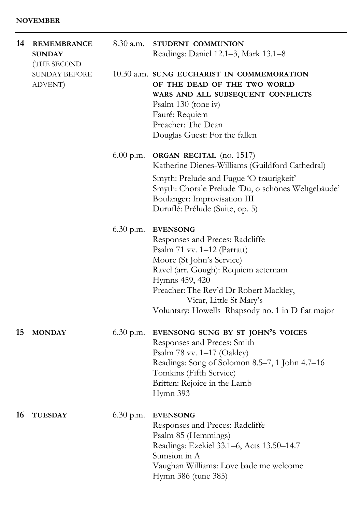#### **NOVEMBER**

| 14 | <b>REMEMBRANCE</b><br><b>SUNDAY</b><br>(THE SECOND | 8.30 a.m.   | STUDENT COMMUNION<br>Readings: Daniel 12.1–3, Mark 13.1–8                                                                                                                                                                                                                                              |
|----|----------------------------------------------------|-------------|--------------------------------------------------------------------------------------------------------------------------------------------------------------------------------------------------------------------------------------------------------------------------------------------------------|
|    | <b>SUNDAY BEFORE</b><br>ADVENT)                    |             | 10.30 a.m. SUNG EUCHARIST IN COMMEMORATION<br>OF THE DEAD OF THE TWO WORLD<br>WARS AND ALL SUBSEQUENT CONFLICTS<br>Psalm 130 (tone iv)<br>Fauré: Requiem<br>Preacher: The Dean<br>Douglas Guest: For the fallen                                                                                        |
|    |                                                    | $6.00$ p.m. | <b>ORGAN RECITAL</b> (no. 1517)<br>Katherine Dienes-Williams (Guildford Cathedral)                                                                                                                                                                                                                     |
|    |                                                    |             | Smyth: Prelude and Fugue 'O traurigkeit'<br>Smyth: Chorale Prelude 'Du, o schönes Weltgebäude'<br>Boulanger: Improvisation III<br>Duruflé: Prélude (Suite, op. 5)                                                                                                                                      |
|    |                                                    | $6.30$ p.m. | <b>EVENSONG</b><br>Responses and Preces: Radcliffe<br>Psalm $71$ vv. $1-12$ (Parratt)<br>Moore (St John's Service)<br>Ravel (arr. Gough): Requiem aeternam<br>Hymns 459, 420<br>Preacher: The Rev'd Dr Robert Mackley,<br>Vicar, Little St Mary's<br>Voluntary: Howells Rhapsody no. 1 in D flat major |
| 15 | <b>MONDAY</b>                                      | $6.30$ p.m. | EVENSONG SUNG BY ST JOHN'S VOICES<br>Responses and Preces: Smith<br>Psalm 78 vv. 1–17 (Oakley)<br>Readings: Song of Solomon 8.5–7, 1 John 4.7–16<br>Tomkins (Fifth Service)<br>Britten: Rejoice in the Lamb<br>Hymn 393                                                                                |
| 16 | <b>TUESDAY</b>                                     | $6.30$ p.m. | <b>EVENSONG</b><br>Responses and Preces: Radcliffe<br>Psalm 85 (Hemmings)<br>Readings: Ezekiel 33.1–6, Acts 13.50–14.7<br>Sumsion in A<br>Vaughan Williams: Love bade me welcome<br>Hymn 386 (tune 385)                                                                                                |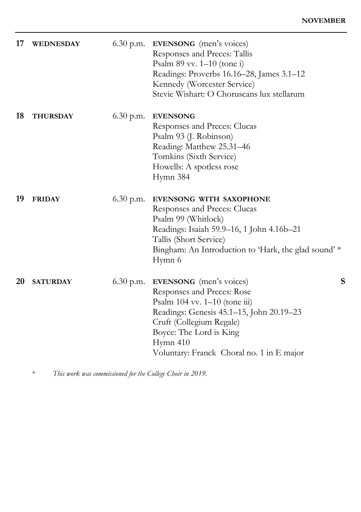| <b>WEDNESDAY</b> | $6.30$ p.m. | <b>EVENSONG</b> (men's voices)<br>Responses and Preces: Tallis<br>Psalm $89$ vv. $1-10$ (tone i)<br>Readings: Proverbs 16.16-28, James 3.1-12<br>Kennedy (Worcester Service)<br>Stevie Wishart: O Choruscans lux stellarum                                     |
|------------------|-------------|----------------------------------------------------------------------------------------------------------------------------------------------------------------------------------------------------------------------------------------------------------------|
| <b>THURSDAY</b>  | $6.30$ p.m. | <b>EVENSONG</b><br>Responses and Preces: Clucas<br>Psalm 93 (J. Robinson)<br>Reading: Matthew 25.31-46<br>Tomkins (Sixth Service)<br>Howells: A spotless rose<br>Hymn 384                                                                                      |
| <b>FRIDAY</b>    | $6.30$ p.m. | EVENSONG WITH SAXOPHONE<br>Responses and Preces: Clucas<br>Psalm 99 (Whitlock)<br>Readings: Isaiah 59.9-16, 1 John 4.16b-21<br>Tallis (Short Service)<br>Bingham: An Introduction to 'Hark, the glad sound' *<br>Hymn 6                                        |
| <b>SATURDAY</b>  | $6.30$ p.m. | S<br><b>EVENSONG</b> (men's voices)<br>Responses and Preces: Rose<br>Psalm 104 vv. 1-10 (tone iii)<br>Readings: Genesis 45.1-15, John 20.19-23<br>Cruft (Collegium Regale)<br>Boyce: The Lord is King<br>Hymn 410<br>Voluntary: Franck Choral no. 1 in E major |
|                  |             |                                                                                                                                                                                                                                                                |

\* *This work was commissioned for the College Choir in 2019.*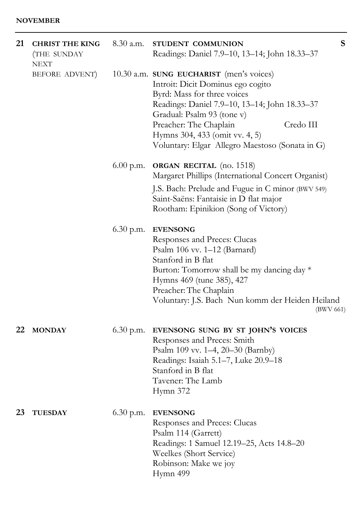#### **NOVEMBER**

| 21 | <b>CHRIST THE KING</b><br>(THE SUNDAY<br>NEXT | $8.30$ a.m. | S<br>STUDENT COMMUNION<br>Readings: Daniel 7.9-10, 13-14; John 18.33-37                                                                                                                                                                                                                                                 |
|----|-----------------------------------------------|-------------|-------------------------------------------------------------------------------------------------------------------------------------------------------------------------------------------------------------------------------------------------------------------------------------------------------------------------|
|    | BEFORE ADVENT)                                |             | 10.30 a.m. SUNG EUCHARIST (men's voices)<br>Introit: Dicit Dominus ego cogito<br>Byrd: Mass for three voices<br>Readings: Daniel 7.9-10, 13-14; John 18.33-37<br>Gradual: Psalm 93 (tone v)<br>Preacher: The Chaplain<br>Credo III<br>Hymns 304, 433 (omit vv. 4, 5)<br>Voluntary: Elgar Allegro Maestoso (Sonata in G) |
|    |                                               | $6.00$ p.m. | <b>ORGAN RECITAL</b> (no. 1518)<br>Margaret Phillips (International Concert Organist)                                                                                                                                                                                                                                   |
|    |                                               |             | J.S. Bach: Prelude and Fugue in C minor (BWV 549)<br>Saint-Saëns: Fantaisie in D flat major<br>Rootham: Epinikion (Song of Victory)                                                                                                                                                                                     |
|    |                                               | 6.30 p.m.   | <b>EVENSONG</b><br>Responses and Preces: Clucas<br>Psalm 106 vv. 1-12 (Barnard)<br>Stanford in B flat<br>Burton: Tomorrow shall be my dancing day *<br>Hymns 469 (tune 385), 427<br>Preacher: The Chaplain<br>Voluntary: J.S. Bach Nun komm der Heiden Heiland<br>(BWV 661)                                             |
| 22 | <b>MONDAY</b>                                 | $6.30$ p.m. | EVENSONG SUNG BY ST JOHN'S VOICES<br>Responses and Preces: Smith<br>Psalm 109 vv. 1–4, 20–30 (Barnby)<br>Readings: Isaiah 5.1–7, Luke 20.9–18<br>Stanford in B flat<br>Tavener: The Lamb<br>Hymn 372                                                                                                                    |
| 23 | <b>TUESDAY</b>                                | $6.30$ p.m. | <b>EVENSONG</b><br>Responses and Preces: Clucas<br>Psalm 114 (Garrett)<br>Readings: 1 Samuel 12.19-25, Acts 14.8-20<br>Weelkes (Short Service)<br>Robinson: Make we joy<br>Hymn 499                                                                                                                                     |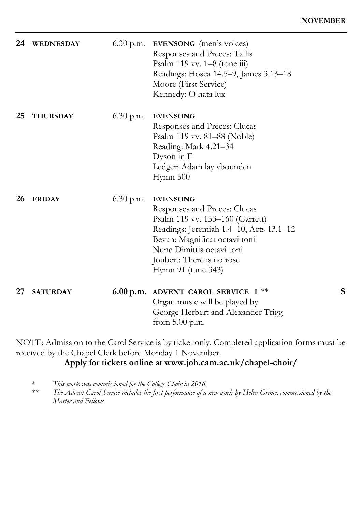| 24 | WEDNESDAY       | $6.30$ p.m. | <b>EVENSONG</b> (men's voices)<br>Responses and Preces: Tallis<br>Psalm $119$ vv. $1-8$ (tone iii)<br>Readings: Hosea 14.5-9, James 3.13-18<br>Moore (First Service)<br>Kennedy: O nata lux                                                    |   |
|----|-----------------|-------------|------------------------------------------------------------------------------------------------------------------------------------------------------------------------------------------------------------------------------------------------|---|
| 25 | <b>THURSDAY</b> | $6.30$ p.m. | <b>EVENSONG</b><br>Responses and Preces: Clucas<br>Psalm 119 vv. 81–88 (Noble)<br>Reading: Mark 4.21-34<br>Dyson in F<br>Ledger: Adam lay ybounden<br>Hymn 500                                                                                 |   |
| 26 | <b>FRIDAY</b>   | $6.30$ p.m. | <b>EVENSONG</b><br>Responses and Preces: Clucas<br>Psalm 119 vv. 153-160 (Garrett)<br>Readings: Jeremiah 1.4-10, Acts 13.1-12<br>Bevan: Magnificat octavi toni<br>Nunc Dimittis octavi toni<br>Joubert: There is no rose<br>Hymn 91 (tune 343) |   |
| 27 | <b>SATURDAY</b> |             | 6.00 p.m. ADVENT CAROL SERVICE I $**$<br>Organ music will be played by<br>George Herbert and Alexander Trigg<br>from $5.00$ p.m.                                                                                                               | S |

NOTE: Admission to the Carol Service is by ticket only. Completed application forms must be received by the Chapel Clerk before Monday 1 November.

## **Apply for tickets online at www.joh.cam.ac.uk/chapel-choir/**

\* *This work was commissioned for the College Choir in 2016.*

The Advent Carol Service includes the first performance of a new work by Helen Grime, commissioned by the *Master and Fellows.*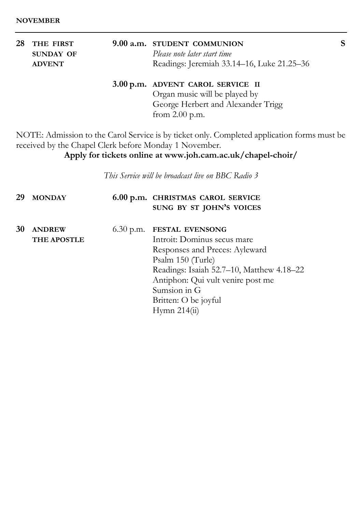| 28 THE FIRST  | 9.00 a.m. STUDENT COMMUNION                |  |
|---------------|--------------------------------------------|--|
| SUNDAY OF     | Please note later start time               |  |
| <b>ADVENT</b> | Readings: Jeremiah 33.14–16, Luke 21.25–36 |  |
|               | 3.00 p.m. ADVENT CAROL SERVICE II          |  |
|               | Oroan music will be played by              |  |

Organ music will be played by George Herbert and Alexander Trigg from 2.00 p.m.

NOTE: Admission to the Carol Service is by ticket only. Completed application forms must be received by the Chapel Clerk before Monday 1 November.

**Apply for tickets online at www.joh.cam.ac.uk/chapel-choir/**

*This Service will be broadcast live on BBC Radio 3*

| 29 | <b>MONDAY</b>                       | 6.00 p.m. CHRISTMAS CAROL SERVICE<br>SUNG BY ST JOHN'S VOICES                                                                                                                                                                                             |
|----|-------------------------------------|-----------------------------------------------------------------------------------------------------------------------------------------------------------------------------------------------------------------------------------------------------------|
| 30 | <b>ANDREW</b><br><b>THE APOSTLE</b> | 6.30 p.m. FESTAL EVENSONG<br>Introit: Dominus secus mare<br>Responses and Preces: Ayleward<br>Psalm 150 (Turle)<br>Readings: Isaiah 52.7-10, Matthew 4.18-22<br>Antiphon: Qui vult venire post me<br>Sumsion in G<br>Britten: O be joyful<br>Hymn 214(ii) |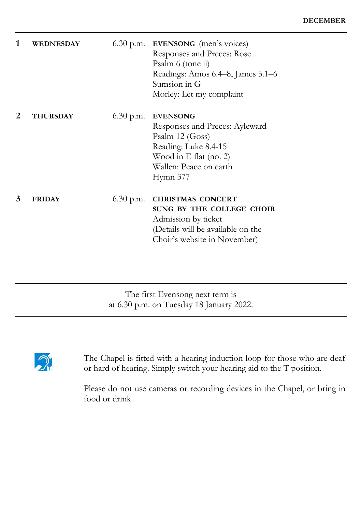| 1 | <b>WEDNESDAY</b> |             | $6.30$ p.m. <b>EVENSONG</b> (men's voices)<br>Responses and Preces: Rose<br>Psalm 6 (tone ii)<br>Readings: Amos 6.4–8, James 5.1–6<br>Sumsion in G<br>Morley: Let my complaint |
|---|------------------|-------------|--------------------------------------------------------------------------------------------------------------------------------------------------------------------------------|
| 2 | <b>THURSDAY</b>  | $6.30$ p.m. | <b>EVENSONG</b><br>Responses and Preces: Ayleward<br>Psalm 12 (Goss)<br>Reading: Luke 8.4-15<br>Wood in E flat (no. 2)<br>Wallen: Peace on earth<br>Hymn 377                   |
| 3 | <b>FRIDAY</b>    | $6.30$ p.m. | <b>CHRISTMAS CONCERT</b><br>SUNG BY THE COLLEGE CHOIR<br>Admission by ticket<br>(Details will be available on the<br>Choir's website in November)                              |

The first Evensong next term is at 6.30 p.m. on Tuesday 18 January 2022.



The Chapel is fitted with a hearing induction loop for those who are deaf or hard of hearing. Simply switch your hearing aid to the T position.

Please do not use cameras or recording devices in the Chapel, or bring in food or drink.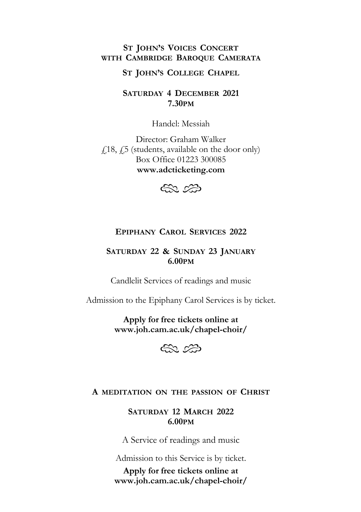## **ST JOHN'S VOICES CONCERT WITH CAMBRIDGE BAROQUE CAMERATA**

#### **ST JOHN'S COLLEGE CHAPEL**

**SATURDAY 4 DECEMBER 2021 7.30PM**

Handel: Messiah

Director: Graham Walker  $\angle$  18,  $\angle$  5 (students, available on the door only) Box Office 01223 300085 **www.adcticketing.com**



## **EPIPHANY CAROL SERVICES 2022**

## **SATURDAY 22 & SUNDAY 23 JANUARY 6.00PM**

Candlelit Services of readings and music

Admission to the Epiphany Carol Services is by ticket.

**Apply for free tickets online at www.joh.cam.ac.uk/chapel-choir/**



## **A MEDITATION ON THE PASSION OF CHRIST**

**SATURDAY 12 MARCH 2022 6.00PM**

A Service of readings and music

Admission to this Service is by ticket.

**Apply for free tickets online at www.joh.cam.ac.uk/chapel-choir/**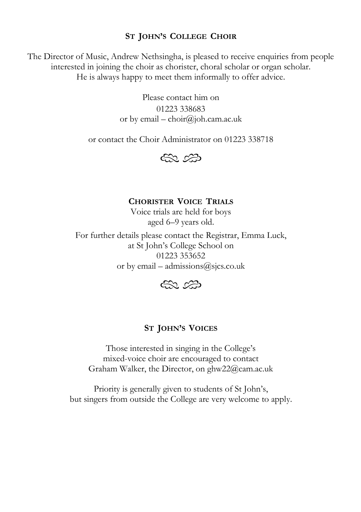## **ST JOHN'S COLLEGE CHOIR**

The Director of Music, Andrew Nethsingha, is pleased to receive enquiries from people interested in joining the choir as chorister, choral scholar or organ scholar. He is always happy to meet them informally to offer advice.

> Please contact him on 01223 338683 or by email – choir@joh.cam.ac.uk

or contact the Choir Administrator on 01223 338718



#### **CHORISTER VOICE TRIALS**

Voice trials are held for boys aged 6–9 years old.

For further details please contact the Registrar, Emma Luck, at St John's College School on 01223 353652 or by email – admissions $@s$ jcs.co.uk



## **ST JOHN'S VOICES**

Those interested in singing in the College's mixed-voice choir are encouraged to contact Graham Walker, the Director, on ghw22@cam.ac.uk

Priority is generally given to students of St John's, but singers from outside the College are very welcome to apply.